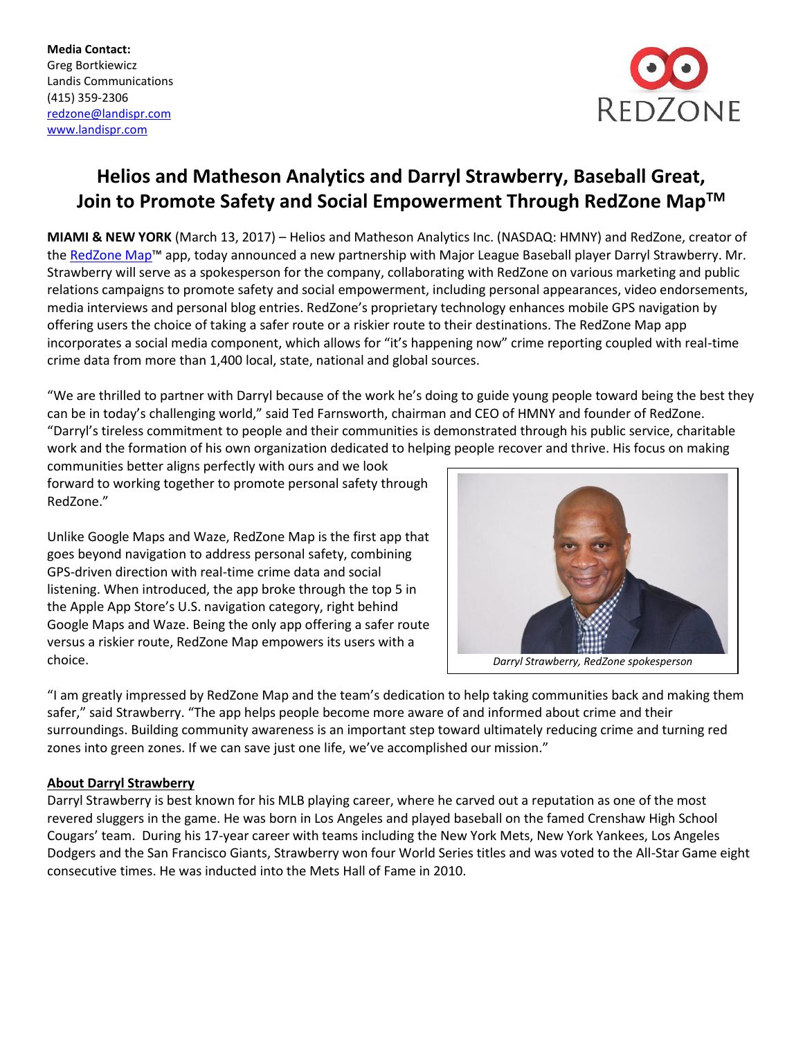**Media Contact:** Greg Bortkiewicz Landis Communications (415) 359-2306 [redzone@landispr.com](mailto:redzone@landispr.com) [www.landispr.com](http://www.landispr.com/) 



# **Helios and Matheson Analytics and Darryl Strawberry, Baseball Great, Join to Promote Safety and Social Empowerment Through RedZone MapTM**

**MIAMI & NEW YORK** (March 13, 2017) – Helios and Matheson Analytics Inc. (NASDAQ: HMNY) and RedZone, creator of the [RedZone Map](http://redzonemap.com/)™ app, today announced a new partnership with Major League Baseball player Darryl Strawberry. Mr. Strawberry will serve as a spokesperson for the company, collaborating with RedZone on various marketing and public relations campaigns to promote safety and social empowerment, including personal appearances, video endorsements, media interviews and personal blog entries. RedZone's proprietary technology enhances mobile GPS navigation by offering users the choice of taking a safer route or a riskier route to their destinations. The RedZone Map app incorporates a social media component, which allows for "it's happening now" crime reporting coupled with real-time crime data from more than 1,400 local, state, national and global sources.

"We are thrilled to partner with Darryl because of the work he's doing to guide young people toward being the best they can be in today's challenging world," said Ted Farnsworth, chairman and CEO of HMNY and founder of RedZone. "Darryl's tireless commitment to people and their communities is demonstrated through his public service, charitable work and the formation of his own organization dedicated to helping people recover and thrive. His focus on making

communities better aligns perfectly with ours and we look forward to working together to promote personal safety through RedZone."

Unlike Google Maps and Waze, RedZone Map is the first app that goes beyond navigation to address personal safety, combining GPS-driven direction with real-time crime data and social listening. When introduced, the app broke through the top 5 in the Apple App Store's U.S. navigation category, right behind Google Maps and Waze. Being the only app offering a safer route versus a riskier route, RedZone Map empowers its users with a choice.



"I am greatly impressed by RedZone Map and the team's dedication to help taking communities back and making them safer," said Strawberry. "The app helps people become more aware of and informed about crime and their surroundings. Building community awareness is an important step toward ultimately reducing crime and turning red zones into green zones. If we can save just one life, we've accomplished our mission."

# **About Darryl Strawberry**

Darryl Strawberry is best known for his MLB playing career, where he carved out a reputation as one of the most revered sluggers in the game. He was born in Los Angeles and played baseball on the famed Crenshaw High School Cougars' team. During his 17-year career with teams including the New York Mets, New York Yankees, Los Angeles Dodgers and the San Francisco Giants, Strawberry won four World Series titles and was voted to the All-Star Game eight consecutive times. He was inducted into the Mets Hall of Fame in 2010.